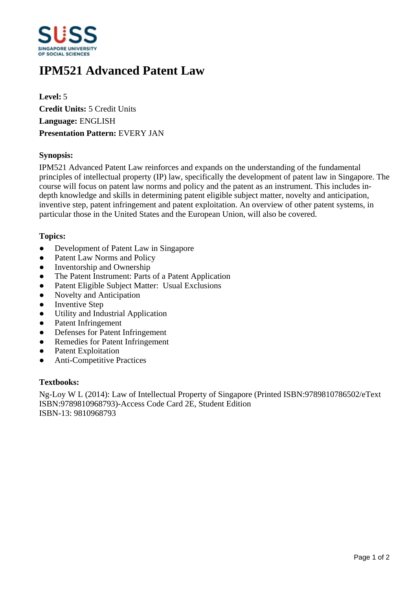

# **IPM521 Advanced Patent Law**

**Level:** 5 **Credit Units:** 5 Credit Units **Language:** ENGLISH **Presentation Pattern:** EVERY JAN

## **Synopsis:**

IPM521 Advanced Patent Law reinforces and expands on the understanding of the fundamental principles of intellectual property (IP) law, specifically the development of patent law in Singapore. The course will focus on patent law norms and policy and the patent as an instrument. This includes indepth knowledge and skills in determining patent eligible subject matter, novelty and anticipation, inventive step, patent infringement and patent exploitation. An overview of other patent systems, in particular those in the United States and the European Union, will also be covered.

## **Topics:**

- Development of Patent Law in Singapore
- Patent Law Norms and Policy
- Inventorship and Ownership
- The Patent Instrument: Parts of a Patent Application
- Patent Eligible Subject Matter: Usual Exclusions
- Novelty and Anticipation
- Inventive Step
- Utility and Industrial Application
- Patent Infringement
- Defenses for Patent Infringement
- Remedies for Patent Infringement
- Patent Exploitation
- Anti-Competitive Practices

#### **Textbooks:**

Ng-Loy W L (2014): Law of Intellectual Property of Singapore (Printed ISBN:9789810786502/eText ISBN:9789810968793)-Access Code Card 2E, Student Edition ISBN-13: 9810968793